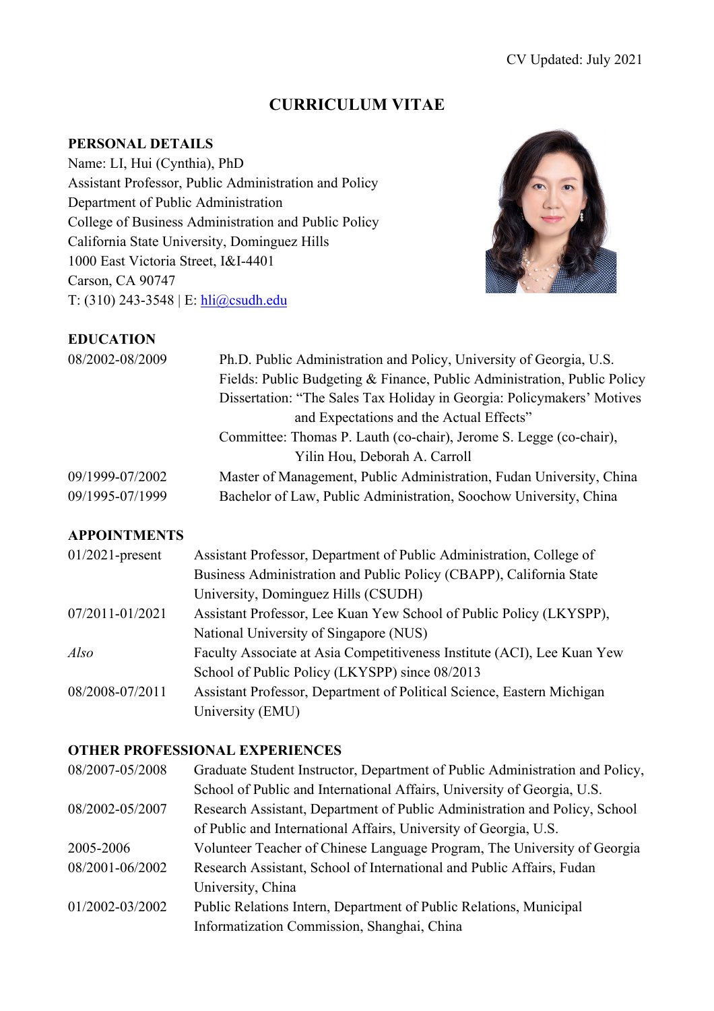# **CURRICULUM VITAE**

## **PERSONAL DETAILS**

Name: LI, Hui (Cynthia), PhD Assistant Professor, Public Administration and Policy Department of Public Administration College of Business Administration and Public Policy California State University, Dominguez Hills 1000 East Victoria Street, I&I-4401 Carson, CA 90747 T: (310) 243-3548 | E: hli@csudh.edu



## **EDUCATION**

| 08/2002-08/2009 | Ph.D. Public Administration and Policy, University of Georgia, U.S.<br>Fields: Public Budgeting & Finance, Public Administration, Public Policy<br>Dissertation: "The Sales Tax Holiday in Georgia: Policymakers' Motives<br>and Expectations and the Actual Effects" |
|-----------------|-----------------------------------------------------------------------------------------------------------------------------------------------------------------------------------------------------------------------------------------------------------------------|
|                 | Committee: Thomas P. Lauth (co-chair), Jerome S. Legge (co-chair),                                                                                                                                                                                                    |
|                 | Yilin Hou, Deborah A. Carroll                                                                                                                                                                                                                                         |
| 09/1999-07/2002 | Master of Management, Public Administration, Fudan University, China                                                                                                                                                                                                  |
| 09/1995-07/1999 | Bachelor of Law, Public Administration, Soochow University, China                                                                                                                                                                                                     |

## **APPOINTMENTS**

| $01/2021$ -present | Assistant Professor, Department of Public Administration, College of    |
|--------------------|-------------------------------------------------------------------------|
|                    | Business Administration and Public Policy (CBAPP), California State     |
|                    | University, Dominguez Hills (CSUDH)                                     |
| 07/2011-01/2021    | Assistant Professor, Lee Kuan Yew School of Public Policy (LKYSPP),     |
|                    | National University of Singapore (NUS)                                  |
| Also               | Faculty Associate at Asia Competitiveness Institute (ACI), Lee Kuan Yew |
|                    | School of Public Policy (LKYSPP) since 08/2013                          |
| 08/2008-07/2011    | Assistant Professor, Department of Political Science, Eastern Michigan  |
|                    | University (EMU)                                                        |

#### **OTHER PROFESSIONAL EXPERIENCES**

| 08/2007-05/2008 | Graduate Student Instructor, Department of Public Administration and Policy, |
|-----------------|------------------------------------------------------------------------------|
|                 | School of Public and International Affairs, University of Georgia, U.S.      |
| 08/2002-05/2007 | Research Assistant, Department of Public Administration and Policy, School   |
|                 | of Public and International Affairs, University of Georgia, U.S.             |
| 2005-2006       | Volunteer Teacher of Chinese Language Program, The University of Georgia     |
| 08/2001-06/2002 | Research Assistant, School of International and Public Affairs, Fudan        |
|                 | University, China                                                            |
| 01/2002-03/2002 | Public Relations Intern, Department of Public Relations, Municipal           |
|                 | Informatization Commission, Shanghai, China                                  |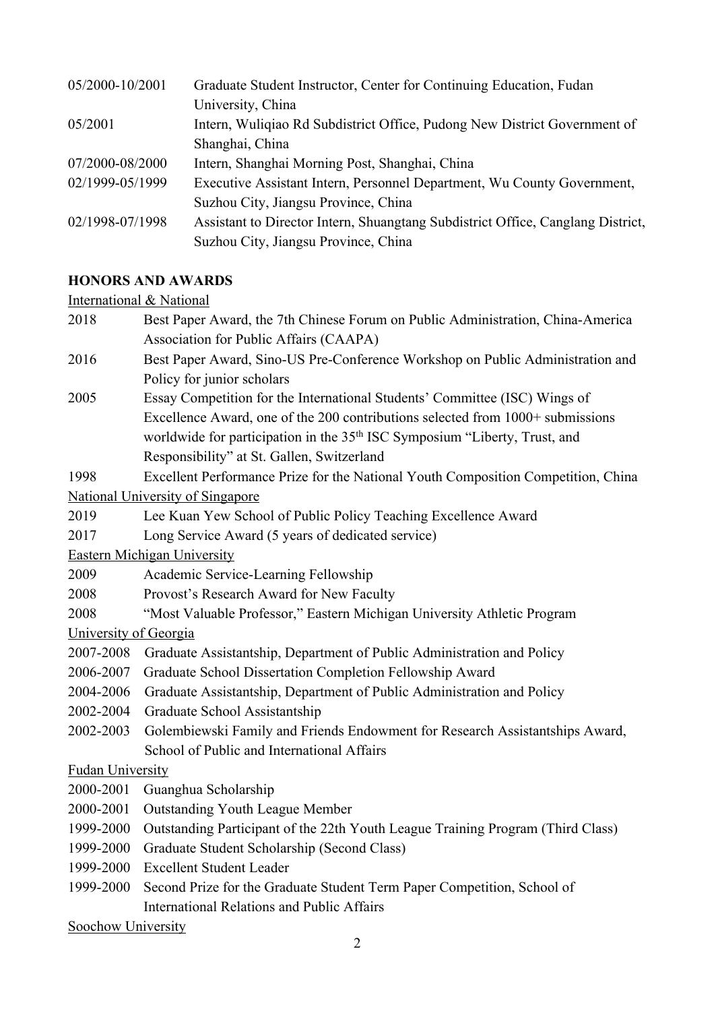| 05/2000-10/2001 | Graduate Student Instructor, Center for Continuing Education, Fudan             |
|-----------------|---------------------------------------------------------------------------------|
|                 | University, China                                                               |
| 05/2001         | Intern, Wuliqiao Rd Subdistrict Office, Pudong New District Government of       |
|                 | Shanghai, China                                                                 |
| 07/2000-08/2000 | Intern, Shanghai Morning Post, Shanghai, China                                  |
| 02/1999-05/1999 | Executive Assistant Intern, Personnel Department, Wu County Government,         |
|                 | Suzhou City, Jiangsu Province, China                                            |
| 02/1998-07/1998 | Assistant to Director Intern, Shuangtang Subdistrict Office, Canglang District, |
|                 | Suzhou City, Jiangsu Province, China                                            |

#### **HONORS AND AWARDS**

#### International & National

2018 Best Paper Award, the 7th Chinese Forum on Public Administration, China-America Association for Public Affairs (CAAPA) 2016 Best Paper Award, Sino-US Pre-Conference Workshop on Public Administration and Policy for junior scholars 2005 Essay Competition for the International Students' Committee (ISC) Wings of Excellence Award, one of the 200 contributions selected from 1000+ submissions worldwide for participation in the 35<sup>th</sup> ISC Symposium "Liberty, Trust, and Responsibility" at St. Gallen, Switzerland 1998 Excellent Performance Prize for the National Youth Composition Competition, China National University of Singapore 2019 Lee Kuan Yew School of Public Policy Teaching Excellence Award 2017 Long Service Award (5 years of dedicated service) Eastern Michigan University 2009 Academic Service-Learning Fellowship 2008 Provost's Research Award for New Faculty 2008 "Most Valuable Professor," Eastern Michigan University Athletic Program University of Georgia 2007-2008 Graduate Assistantship, Department of Public Administration and Policy 2006-2007 Graduate School Dissertation Completion Fellowship Award 2004-2006 Graduate Assistantship, Department of Public Administration and Policy 2002-2004 Graduate School Assistantship 2002-2003 Golembiewski Family and Friends Endowment for Research Assistantships Award, School of Public and International Affairs Fudan University 2000-2001 Guanghua Scholarship 2000-2001 Outstanding Youth League Member 1999-2000 Outstanding Participant of the 22th Youth League Training Program (Third Class) 1999-2000 Graduate Student Scholarship (Second Class) 1999-2000 Excellent Student Leader 1999-2000 Second Prize for the Graduate Student Term Paper Competition, School of International Relations and Public Affairs Soochow University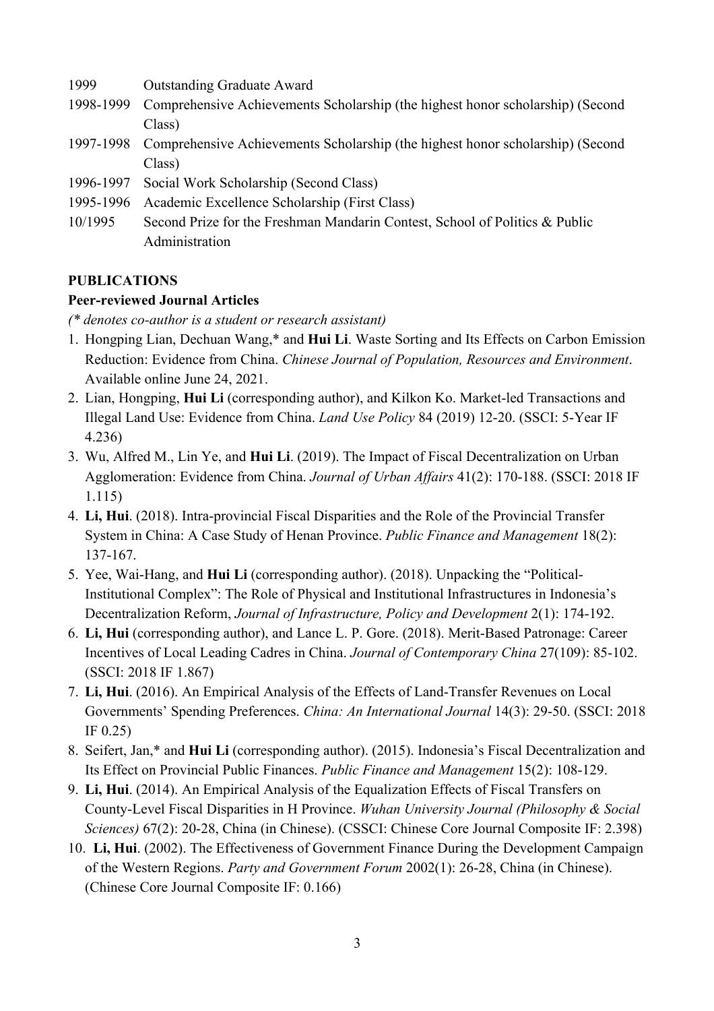- 1999 Outstanding Graduate Award
- 1998-1999 Comprehensive Achievements Scholarship (the highest honor scholarship) (Second Class)
- 1997-1998 Comprehensive Achievements Scholarship (the highest honor scholarship) (Second Class)
- 1996-1997 Social Work Scholarship (Second Class)
- 1995-1996 Academic Excellence Scholarship (First Class)
- 10/1995 Second Prize for the Freshman Mandarin Contest, School of Politics & Public Administration

## **PUBLICATIONS**

## **Peer-reviewed Journal Articles**

*(\* denotes co-author is a student or research assistant)*

- 1. Hongping Lian, Dechuan Wang,\* and **Hui Li**. Waste Sorting and Its Effects on Carbon Emission Reduction: Evidence from China. *Chinese Journal of Population, Resources and Environment*. Available online June 24, 2021.
- 2. Lian, Hongping, **Hui Li** (corresponding author), and Kilkon Ko. Market-led Transactions and Illegal Land Use: Evidence from China. *Land Use Policy* 84 (2019) 12-20. (SSCI: 5-Year IF 4.236)
- 3. Wu, Alfred M., Lin Ye, and **Hui Li**. (2019). The Impact of Fiscal Decentralization on Urban Agglomeration: Evidence from China. *Journal of Urban Affairs* 41(2): 170-188. (SSCI: 2018 IF 1.115)
- 4. **Li, Hui**. (2018). Intra-provincial Fiscal Disparities and the Role of the Provincial Transfer System in China: A Case Study of Henan Province. *Public Finance and Management* 18(2): 137-167.
- 5. Yee, Wai-Hang, and **Hui Li** (corresponding author). (2018). Unpacking the "Political-Institutional Complex": The Role of Physical and Institutional Infrastructures in Indonesia's Decentralization Reform, *Journal of Infrastructure, Policy and Development* 2(1): 174-192.
- 6. **Li, Hui** (corresponding author), and Lance L. P. Gore. (2018). Merit-Based Patronage: Career Incentives of Local Leading Cadres in China. *Journal of Contemporary China* 27(109): 85-102. (SSCI: 2018 IF 1.867)
- 7. **Li, Hui**. (2016). An Empirical Analysis of the Effects of Land-Transfer Revenues on Local Governments' Spending Preferences. *China: An International Journal* 14(3): 29-50. (SSCI: 2018 IF 0.25)
- 8. Seifert, Jan,\* and **Hui Li** (corresponding author). (2015). Indonesia's Fiscal Decentralization and Its Effect on Provincial Public Finances. *Public Finance and Management* 15(2): 108-129.
- 9. **Li, Hui**. (2014). An Empirical Analysis of the Equalization Effects of Fiscal Transfers on County-Level Fiscal Disparities in H Province. *Wuhan University Journal (Philosophy & Social Sciences)* 67(2): 20-28, China (in Chinese). (CSSCI: Chinese Core Journal Composite IF: 2.398)
- 10. **Li, Hui**. (2002). The Effectiveness of Government Finance During the Development Campaign of the Western Regions. *Party and Government Forum* 2002(1): 26-28, China (in Chinese). (Chinese Core Journal Composite IF: 0.166)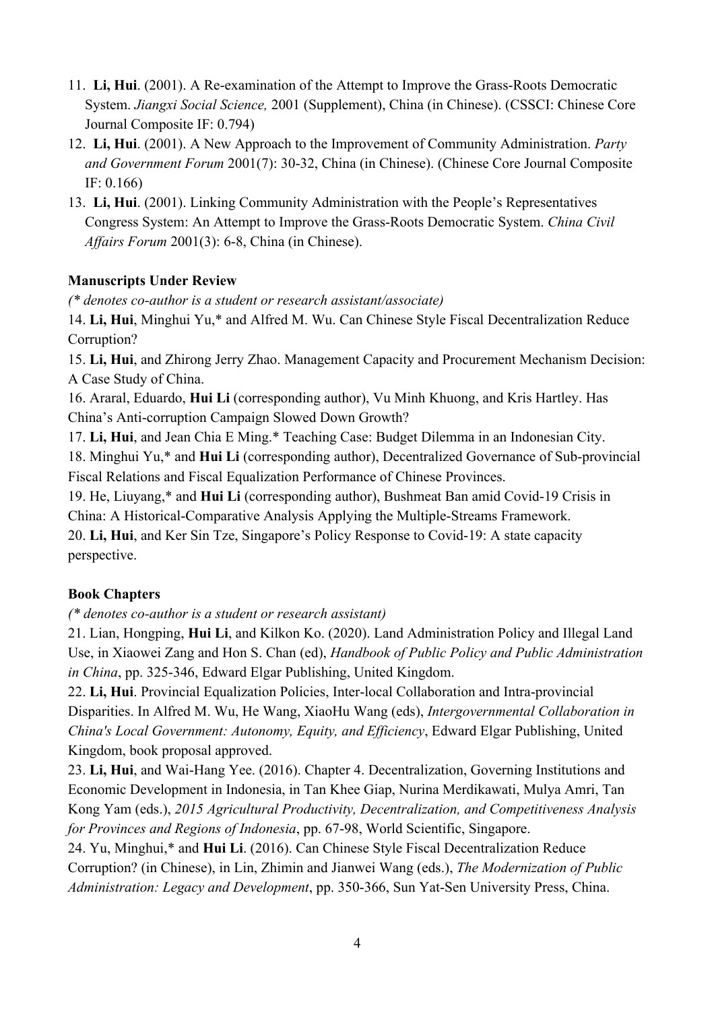- 11. **Li, Hui**. (2001). A Re-examination of the Attempt to Improve the Grass-Roots Democratic System. *Jiangxi Social Science,* 2001 (Supplement), China (in Chinese). (CSSCI: Chinese Core Journal Composite IF: 0.794)
- 12. **Li, Hui**. (2001). A New Approach to the Improvement of Community Administration. *Party and Government Forum* 2001(7): 30-32, China (in Chinese). (Chinese Core Journal Composite IF: 0.166)
- 13. **Li, Hui**. (2001). Linking Community Administration with the People's Representatives Congress System: An Attempt to Improve the Grass-Roots Democratic System. *China Civil Affairs Forum* 2001(3): 6-8, China (in Chinese).

## **Manuscripts Under Review**

*(\* denotes co-author is a student or research assistant/associate)*

14. **Li, Hui**, Minghui Yu,\* and Alfred M. Wu. Can Chinese Style Fiscal Decentralization Reduce Corruption?

15. **Li, Hui**, and Zhirong Jerry Zhao. Management Capacity and Procurement Mechanism Decision: A Case Study of China.

16. Araral, Eduardo, **Hui Li** (corresponding author), Vu Minh Khuong, and Kris Hartley. Has China's Anti-corruption Campaign Slowed Down Growth?

17. **Li, Hui**, and Jean Chia E Ming.\* Teaching Case: Budget Dilemma in an Indonesian City.

18. Minghui Yu,\* and **Hui Li** (corresponding author), Decentralized Governance of Sub-provincial Fiscal Relations and Fiscal Equalization Performance of Chinese Provinces.

19. He, Liuyang,\* and **Hui Li** (corresponding author), Bushmeat Ban amid Covid-19 Crisis in China: A Historical-Comparative Analysis Applying the Multiple-Streams Framework.

20. **Li, Hui**, and Ker Sin Tze, Singapore's Policy Response to Covid-19: A state capacity perspective.

# **Book Chapters**

*(\* denotes co-author is a student or research assistant)*

21. Lian, Hongping, **Hui Li**, and Kilkon Ko. (2020). Land Administration Policy and Illegal Land Use, in Xiaowei Zang and Hon S. Chan (ed), *Handbook of Public Policy and Public Administration in China*, pp. 325-346, Edward Elgar Publishing, United Kingdom.

22. **Li, Hui**. Provincial Equalization Policies, Inter-local Collaboration and Intra-provincial Disparities. In Alfred M. Wu, He Wang, XiaoHu Wang (eds), *Intergovernmental Collaboration in China's Local Government: Autonomy, Equity, and Efficiency*, Edward Elgar Publishing, United Kingdom, book proposal approved.

23. **Li, Hui**, and Wai-Hang Yee. (2016). Chapter 4. Decentralization, Governing Institutions and Economic Development in Indonesia, in Tan Khee Giap, Nurina Merdikawati, Mulya Amri, Tan Kong Yam (eds.), *2015 Agricultural Productivity, Decentralization, and Competitiveness Analysis for Provinces and Regions of Indonesia*, pp. 67-98, World Scientific, Singapore.

24. Yu, Minghui,\* and **Hui Li**. (2016). Can Chinese Style Fiscal Decentralization Reduce Corruption? (in Chinese), in Lin, Zhimin and Jianwei Wang (eds.), *The Modernization of Public Administration: Legacy and Development*, pp. 350-366, Sun Yat-Sen University Press, China.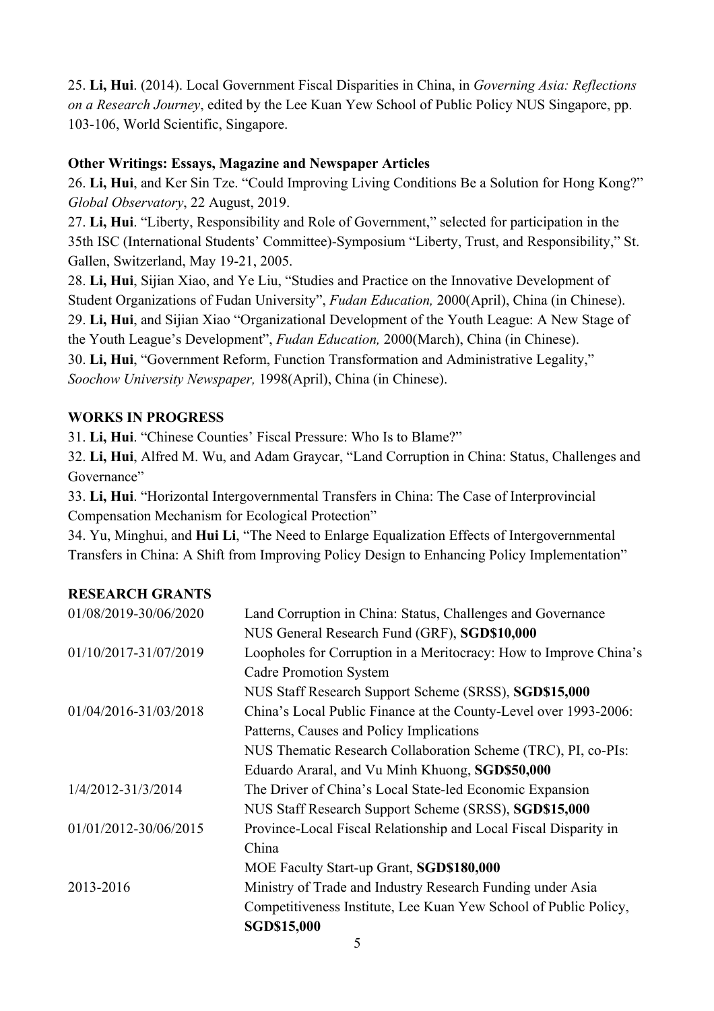25. **Li, Hui**. (2014). Local Government Fiscal Disparities in China, in *Governing Asia: Reflections on a Research Journey*, edited by the Lee Kuan Yew School of Public Policy NUS Singapore, pp. 103-106, World Scientific, Singapore.

#### **Other Writings: Essays, Magazine and Newspaper Articles**

26. **Li, Hui**, and Ker Sin Tze. "Could Improving Living Conditions Be a Solution for Hong Kong?" *Global Observatory*, 22 August, 2019.

27. **Li, Hui**. "Liberty, Responsibility and Role of Government," selected for participation in the 35th ISC (International Students' Committee)-Symposium "Liberty, Trust, and Responsibility," St. Gallen, Switzerland, May 19-21, 2005.

28. **Li, Hui**, Sijian Xiao, and Ye Liu, "Studies and Practice on the Innovative Development of Student Organizations of Fudan University", *Fudan Education,* 2000(April), China (in Chinese). 29. **Li, Hui**, and Sijian Xiao "Organizational Development of the Youth League: A New Stage of the Youth League's Development", *Fudan Education,* 2000(March), China (in Chinese). 30. **Li, Hui**, "Government Reform, Function Transformation and Administrative Legality," *Soochow University Newspaper,* 1998(April), China (in Chinese).

#### **WORKS IN PROGRESS**

31. **Li, Hui**. "Chinese Counties' Fiscal Pressure: Who Is to Blame?"

32. **Li, Hui**, Alfred M. Wu, and Adam Graycar, "Land Corruption in China: Status, Challenges and Governance"

33. **Li, Hui**. "Horizontal Intergovernmental Transfers in China: The Case of Interprovincial Compensation Mechanism for Ecological Protection"

34. Yu, Minghui, and **Hui Li**, "The Need to Enlarge Equalization Effects of Intergovernmental Transfers in China: A Shift from Improving Policy Design to Enhancing Policy Implementation"

#### **RESEARCH GRANTS**

| 01/08/2019-30/06/2020 | Land Corruption in China: Status, Challenges and Governance       |
|-----------------------|-------------------------------------------------------------------|
|                       | NUS General Research Fund (GRF), SGD\$10,000                      |
| 01/10/2017-31/07/2019 | Loopholes for Corruption in a Meritocracy: How to Improve China's |
|                       | <b>Cadre Promotion System</b>                                     |
|                       | NUS Staff Research Support Scheme (SRSS), SGD\$15,000             |
| 01/04/2016-31/03/2018 | China's Local Public Finance at the County-Level over 1993-2006:  |
|                       | Patterns, Causes and Policy Implications                          |
|                       | NUS Thematic Research Collaboration Scheme (TRC), PI, co-PIs:     |
|                       | Eduardo Araral, and Vu Minh Khuong, SGD\$50,000                   |
| 1/4/2012-31/3/2014    | The Driver of China's Local State-led Economic Expansion          |
|                       | NUS Staff Research Support Scheme (SRSS), SGD\$15,000             |
| 01/01/2012-30/06/2015 | Province-Local Fiscal Relationship and Local Fiscal Disparity in  |
|                       | China                                                             |
|                       | MOE Faculty Start-up Grant, SGD\$180,000                          |
| 2013-2016             | Ministry of Trade and Industry Research Funding under Asia        |
|                       | Competitiveness Institute, Lee Kuan Yew School of Public Policy,  |
|                       | <b>SGD\$15,000</b>                                                |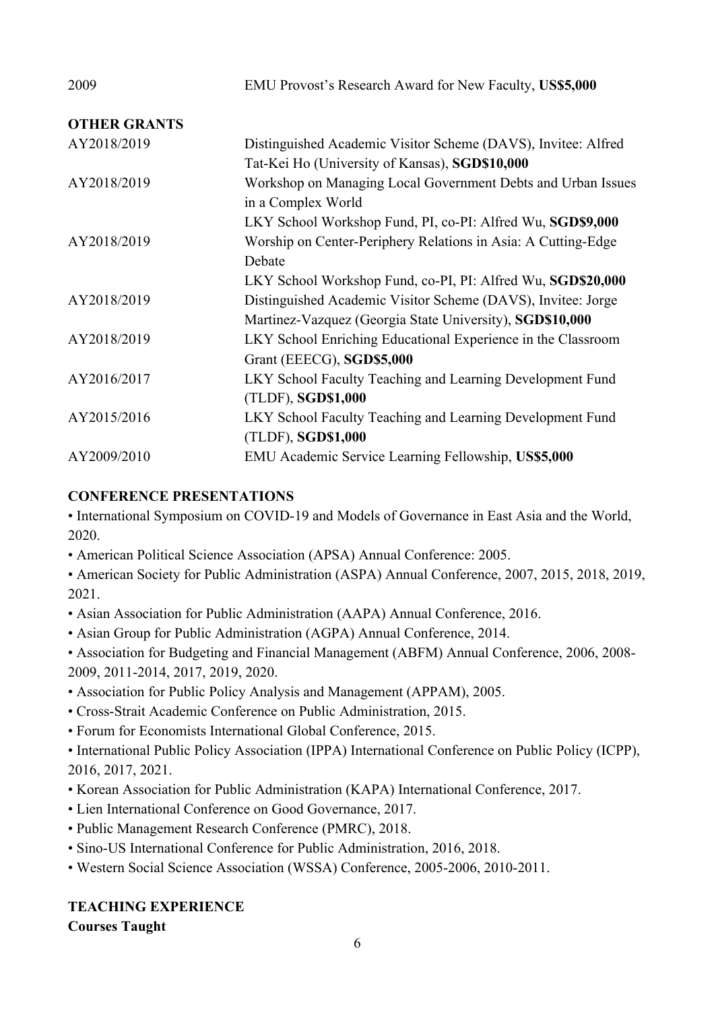| 2009                | EMU Provost's Research Award for New Faculty, US\$5,000       |
|---------------------|---------------------------------------------------------------|
| <b>OTHER GRANTS</b> |                                                               |
| AY2018/2019         | Distinguished Academic Visitor Scheme (DAVS), Invitee: Alfred |
|                     | Tat-Kei Ho (University of Kansas), SGD\$10,000                |
| AY2018/2019         | Workshop on Managing Local Government Debts and Urban Issues  |
|                     | in a Complex World                                            |
|                     | LKY School Workshop Fund, PI, co-PI: Alfred Wu, SGD\$9,000    |
| AY2018/2019         | Worship on Center-Periphery Relations in Asia: A Cutting-Edge |
|                     | Debate                                                        |
|                     | LKY School Workshop Fund, co-PI, PI: Alfred Wu, SGD\$20,000   |
| AY2018/2019         | Distinguished Academic Visitor Scheme (DAVS), Invitee: Jorge  |
|                     | Martinez-Vazquez (Georgia State University), SGD\$10,000      |
| AY2018/2019         | LKY School Enriching Educational Experience in the Classroom  |
|                     | Grant (EEECG), SGD\$5,000                                     |
| AY2016/2017         | LKY School Faculty Teaching and Learning Development Fund     |
|                     | (TLDF), SGD\$1,000                                            |
| AY2015/2016         | LKY School Faculty Teaching and Learning Development Fund     |
|                     | (TLDF), SGD\$1,000                                            |
| AY2009/2010         | EMU Academic Service Learning Fellowship, US\$5,000           |

#### **CONFERENCE PRESENTATIONS**

• International Symposium on COVID-19 and Models of Governance in East Asia and the World, 2020.

• American Political Science Association (APSA) Annual Conference: 2005.

• American Society for Public Administration (ASPA) Annual Conference, 2007, 2015, 2018, 2019, 2021.

• Asian Association for Public Administration (AAPA) Annual Conference, 2016.

• Asian Group for Public Administration (AGPA) Annual Conference, 2014.

• Association for Budgeting and Financial Management (ABFM) Annual Conference, 2006, 2008- 2009, 2011-2014, 2017, 2019, 2020.

• Association for Public Policy Analysis and Management (APPAM), 2005.

• Cross-Strait Academic Conference on Public Administration, 2015.

• Forum for Economists International Global Conference, 2015.

• International Public Policy Association (IPPA) International Conference on Public Policy (ICPP), 2016, 2017, 2021.

- Korean Association for Public Administration (KAPA) International Conference, 2017.
- Lien International Conference on Good Governance, 2017.
- Public Management Research Conference (PMRC), 2018.
- Sino-US International Conference for Public Administration, 2016, 2018.

• Western Social Science Association (WSSA) Conference, 2005-2006, 2010-2011.

## **TEACHING EXPERIENCE**

**Courses Taught**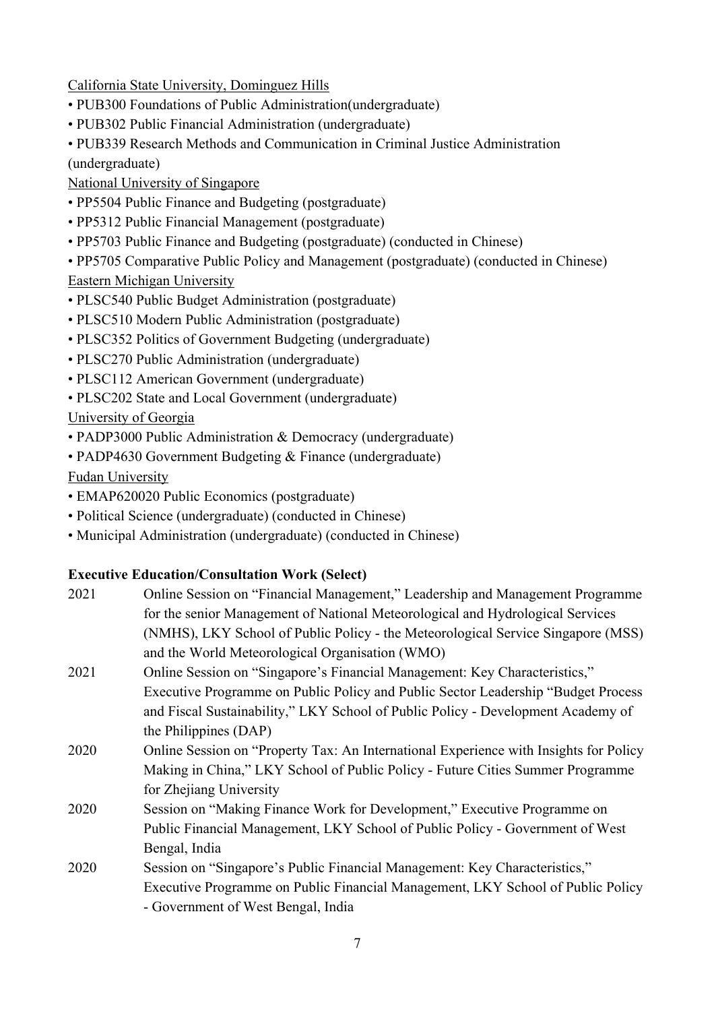California State University, Dominguez Hills

- PUB300 Foundations of Public Administration(undergraduate)
- PUB302 Public Financial Administration (undergraduate)
- PUB339 Research Methods and Communication in Criminal Justice Administration

(undergraduate)

National University of Singapore

- PP5504 Public Finance and Budgeting (postgraduate)
- PP5312 Public Financial Management (postgraduate)
- PP5703 Public Finance and Budgeting (postgraduate) (conducted in Chinese)
- PP5705 Comparative Public Policy and Management (postgraduate) (conducted in Chinese)

# Eastern Michigan University

- PLSC540 Public Budget Administration (postgraduate)
- PLSC510 Modern Public Administration (postgraduate)
- PLSC352 Politics of Government Budgeting (undergraduate)
- PLSC270 Public Administration (undergraduate)
- PLSC112 American Government (undergraduate)
- PLSC202 State and Local Government (undergraduate)

University of Georgia

- PADP3000 Public Administration & Democracy (undergraduate)
- PADP4630 Government Budgeting & Finance (undergraduate)

Fudan University

- EMAP620020 Public Economics (postgraduate)
- Political Science (undergraduate) (conducted in Chinese)
- Municipal Administration (undergraduate) (conducted in Chinese)

# **Executive Education/Consultation Work (Select)**

| 2021 | Online Session on "Financial Management," Leadership and Management Programme         |
|------|---------------------------------------------------------------------------------------|
|      | for the senior Management of National Meteorological and Hydrological Services        |
|      | (NMHS), LKY School of Public Policy - the Meteorological Service Singapore (MSS)      |
|      | and the World Meteorological Organisation (WMO)                                       |
| 2021 | Online Session on "Singapore's Financial Management: Key Characteristics,"            |
|      | Executive Programme on Public Policy and Public Sector Leadership "Budget Process"    |
|      | and Fiscal Sustainability," LKY School of Public Policy - Development Academy of      |
|      | the Philippines (DAP)                                                                 |
| 2020 | Online Session on "Property Tax: An International Experience with Insights for Policy |
|      | Making in China," LKY School of Public Policy - Future Cities Summer Programme        |
|      | for Zhejiang University                                                               |
| 2020 | Session on "Making Finance Work for Development," Executive Programme on              |
|      | Public Financial Management, LKY School of Public Policy - Government of West         |
|      | Bengal, India                                                                         |
| 2020 | Session on "Singapore's Public Financial Management: Key Characteristics,"            |
|      | Executive Programme on Public Financial Management, LKY School of Public Policy       |
|      | - Government of West Bengal, India                                                    |
|      |                                                                                       |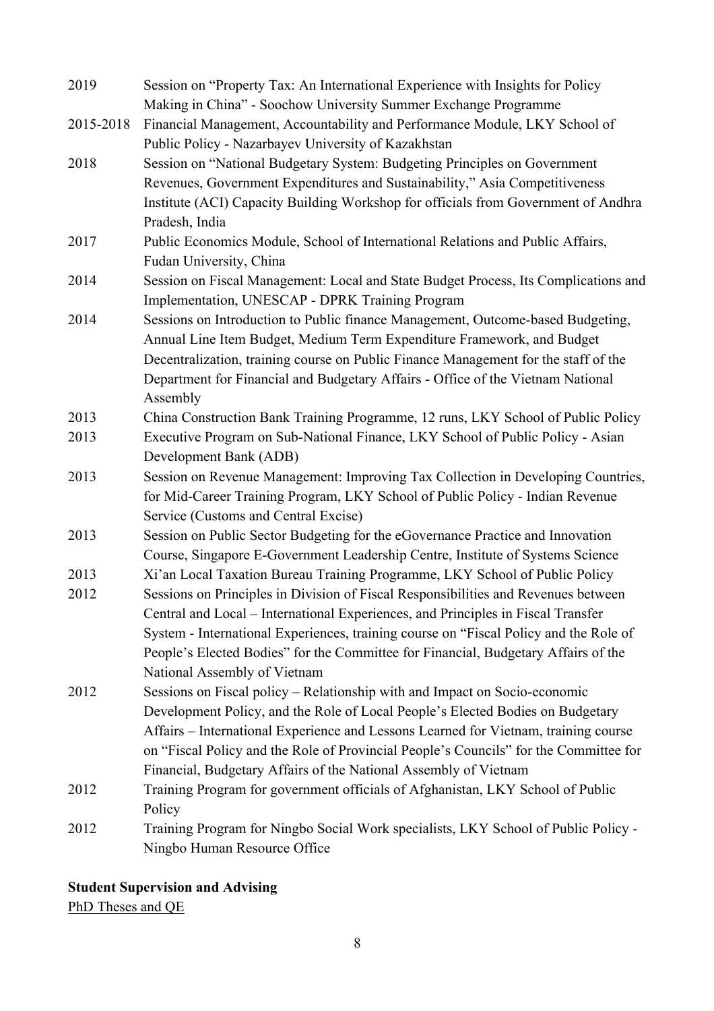| 2019      | Session on "Property Tax: An International Experience with Insights for Policy        |
|-----------|---------------------------------------------------------------------------------------|
|           | Making in China" - Soochow University Summer Exchange Programme                       |
| 2015-2018 | Financial Management, Accountability and Performance Module, LKY School of            |
|           | Public Policy - Nazarbayev University of Kazakhstan                                   |
| 2018      | Session on "National Budgetary System: Budgeting Principles on Government             |
|           | Revenues, Government Expenditures and Sustainability," Asia Competitiveness           |
|           | Institute (ACI) Capacity Building Workshop for officials from Government of Andhra    |
|           | Pradesh, India                                                                        |
| 2017      | Public Economics Module, School of International Relations and Public Affairs,        |
|           | Fudan University, China                                                               |
| 2014      | Session on Fiscal Management: Local and State Budget Process, Its Complications and   |
|           | Implementation, UNESCAP - DPRK Training Program                                       |
| 2014      | Sessions on Introduction to Public finance Management, Outcome-based Budgeting,       |
|           | Annual Line Item Budget, Medium Term Expenditure Framework, and Budget                |
|           | Decentralization, training course on Public Finance Management for the staff of the   |
|           | Department for Financial and Budgetary Affairs - Office of the Vietnam National       |
|           | Assembly                                                                              |
| 2013      | China Construction Bank Training Programme, 12 runs, LKY School of Public Policy      |
| 2013      | Executive Program on Sub-National Finance, LKY School of Public Policy - Asian        |
|           | Development Bank (ADB)                                                                |
| 2013      | Session on Revenue Management: Improving Tax Collection in Developing Countries,      |
|           | for Mid-Career Training Program, LKY School of Public Policy - Indian Revenue         |
|           | Service (Customs and Central Excise)                                                  |
| 2013      | Session on Public Sector Budgeting for the eGovernance Practice and Innovation        |
|           | Course, Singapore E-Government Leadership Centre, Institute of Systems Science        |
| 2013      | Xi'an Local Taxation Bureau Training Programme, LKY School of Public Policy           |
| 2012      | Sessions on Principles in Division of Fiscal Responsibilities and Revenues between    |
|           | Central and Local – International Experiences, and Principles in Fiscal Transfer      |
|           | System - International Experiences, training course on "Fiscal Policy and the Role of |
|           | People's Elected Bodies" for the Committee for Financial, Budgetary Affairs of the    |
|           | National Assembly of Vietnam                                                          |
| 2012      | Sessions on Fiscal policy - Relationship with and Impact on Socio-economic            |
|           | Development Policy, and the Role of Local People's Elected Bodies on Budgetary        |
|           | Affairs - International Experience and Lessons Learned for Vietnam, training course   |
|           | on "Fiscal Policy and the Role of Provincial People's Councils" for the Committee for |
|           | Financial, Budgetary Affairs of the National Assembly of Vietnam                      |
| 2012      | Training Program for government officials of Afghanistan, LKY School of Public        |
|           | Policy                                                                                |
| 2012      | Training Program for Ningbo Social Work specialists, LKY School of Public Policy -    |
|           | Ningbo Human Resource Office                                                          |

# **Student Supervision and Advising**

PhD Theses and QE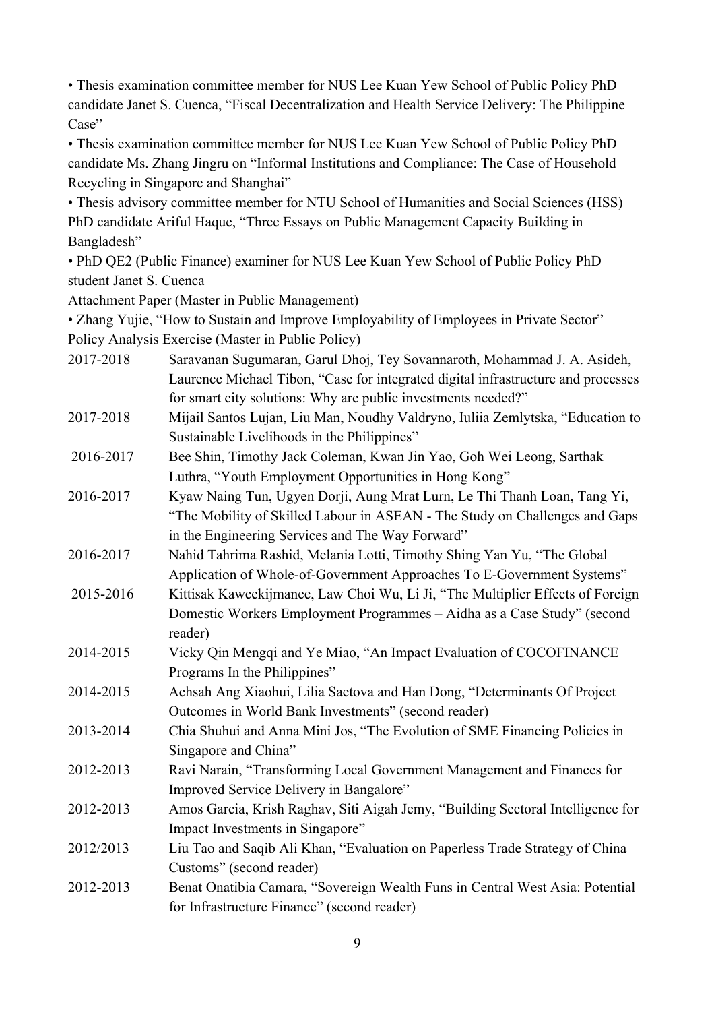• Thesis examination committee member for NUS Lee Kuan Yew School of Public Policy PhD candidate Janet S. Cuenca, "Fiscal Decentralization and Health Service Delivery: The Philippine Case"

• Thesis examination committee member for NUS Lee Kuan Yew School of Public Policy PhD candidate Ms. Zhang Jingru on "Informal Institutions and Compliance: The Case of Household Recycling in Singapore and Shanghai"

• Thesis advisory committee member for NTU School of Humanities and Social Sciences (HSS) PhD candidate Ariful Haque, "Three Essays on Public Management Capacity Building in Bangladesh"

• PhD QE2 (Public Finance) examiner for NUS Lee Kuan Yew School of Public Policy PhD student Janet S. Cuenca

Attachment Paper (Master in Public Management)

• Zhang Yujie, "How to Sustain and Improve Employability of Employees in Private Sector" Policy Analysis Exercise (Master in Public Policy)

| 2017-2018 | Saravanan Sugumaran, Garul Dhoj, Tey Sovannaroth, Mohammad J. A. Asideh,          |
|-----------|-----------------------------------------------------------------------------------|
|           | Laurence Michael Tibon, "Case for integrated digital infrastructure and processes |
|           | for smart city solutions: Why are public investments needed?"                     |
| 2017-2018 | Mijail Santos Lujan, Liu Man, Noudhy Valdryno, Iuliia Zemlytska, "Education to    |
|           | Sustainable Livelihoods in the Philippines"                                       |
| 2016-2017 | Bee Shin, Timothy Jack Coleman, Kwan Jin Yao, Goh Wei Leong, Sarthak              |
|           | Luthra, "Youth Employment Opportunities in Hong Kong"                             |
| 2016-2017 | Kyaw Naing Tun, Ugyen Dorji, Aung Mrat Lurn, Le Thi Thanh Loan, Tang Yi,          |
|           | "The Mobility of Skilled Labour in ASEAN - The Study on Challenges and Gaps       |
|           | in the Engineering Services and The Way Forward"                                  |
| 2016-2017 | Nahid Tahrima Rashid, Melania Lotti, Timothy Shing Yan Yu, "The Global            |
|           | Application of Whole-of-Government Approaches To E-Government Systems"            |
| 2015-2016 | Kittisak Kaweekijmanee, Law Choi Wu, Li Ji, "The Multiplier Effects of Foreign    |
|           | Domestic Workers Employment Programmes - Aidha as a Case Study" (second           |
|           | reader)                                                                           |
| 2014-2015 | Vicky Qin Mengqi and Ye Miao, "An Impact Evaluation of COCOFINANCE                |
|           | Programs In the Philippines"                                                      |
| 2014-2015 | Achsah Ang Xiaohui, Lilia Saetova and Han Dong, "Determinants Of Project          |
|           | Outcomes in World Bank Investments" (second reader)                               |
| 2013-2014 | Chia Shuhui and Anna Mini Jos, "The Evolution of SME Financing Policies in        |
|           | Singapore and China"                                                              |
| 2012-2013 | Ravi Narain, "Transforming Local Government Management and Finances for           |
|           | Improved Service Delivery in Bangalore"                                           |
| 2012-2013 | Amos Garcia, Krish Raghav, Siti Aigah Jemy, "Building Sectoral Intelligence for   |
|           | Impact Investments in Singapore"                                                  |
| 2012/2013 | Liu Tao and Saqib Ali Khan, "Evaluation on Paperless Trade Strategy of China      |
|           | Customs" (second reader)                                                          |
| 2012-2013 | Benat Onatibia Camara, "Sovereign Wealth Funs in Central West Asia: Potential     |
|           | for Infrastructure Finance" (second reader)                                       |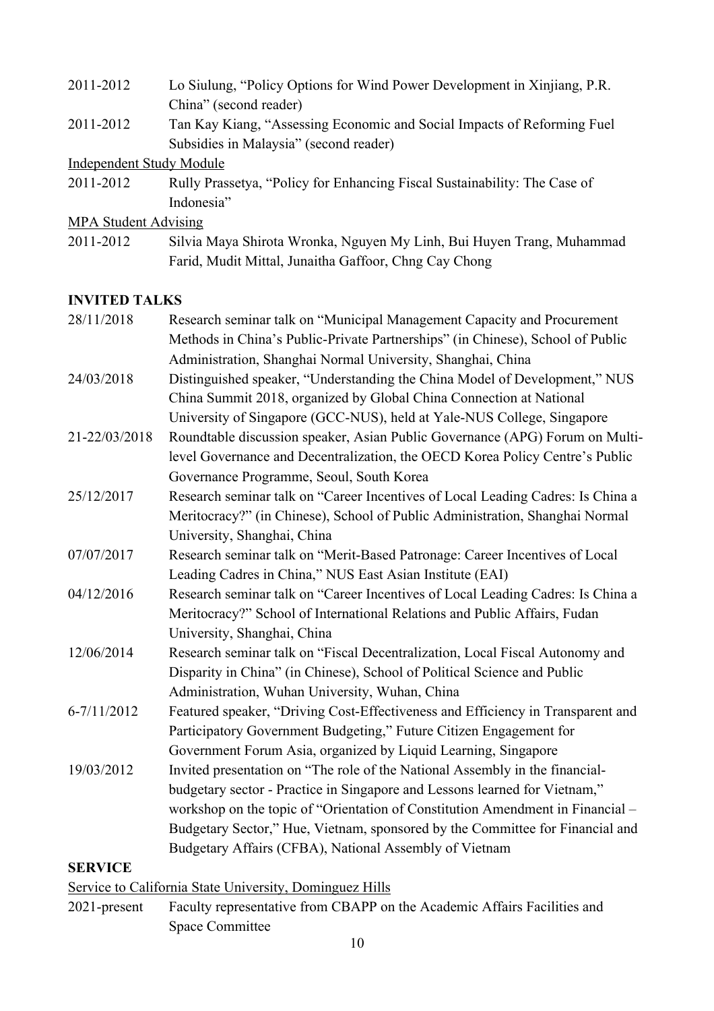- 2011-2012 Lo Siulung, "Policy Options for Wind Power Development in Xinjiang, P.R. China" (second reader)
- 2011-2012 Tan Kay Kiang, "Assessing Economic and Social Impacts of Reforming Fuel Subsidies in Malaysia" (second reader)

Independent Study Module

2011-2012 Rully Prassetya, "Policy for Enhancing Fiscal Sustainability: The Case of Indonesia"

MPA Student Advising

2011-2012 Silvia Maya Shirota Wronka, Nguyen My Linh, Bui Huyen Trang, Muhammad Farid, Mudit Mittal, Junaitha Gaffoor, Chng Cay Chong

#### **INVITED TALKS**

28/11/2018 Research seminar talk on "Municipal Management Capacity and Procurement Methods in China's Public-Private Partnerships" (in Chinese), School of Public Administration, Shanghai Normal University, Shanghai, China 24/03/2018 Distinguished speaker, "Understanding the China Model of Development," NUS China Summit 2018, organized by Global China Connection at National University of Singapore (GCC-NUS), held at Yale-NUS College, Singapore 21-22/03/2018 Roundtable discussion speaker, Asian Public Governance (APG) Forum on Multilevel Governance and Decentralization, the OECD Korea Policy Centre's Public Governance Programme, Seoul, South Korea 25/12/2017 Research seminar talk on "Career Incentives of Local Leading Cadres: Is China a Meritocracy?" (in Chinese), School of Public Administration, Shanghai Normal University, Shanghai, China 07/07/2017 Research seminar talk on "Merit-Based Patronage: Career Incentives of Local Leading Cadres in China," NUS East Asian Institute (EAI) 04/12/2016 Research seminar talk on "Career Incentives of Local Leading Cadres: Is China a Meritocracy?" School of International Relations and Public Affairs, Fudan University, Shanghai, China 12/06/2014 Research seminar talk on "Fiscal Decentralization, Local Fiscal Autonomy and Disparity in China" (in Chinese), School of Political Science and Public Administration, Wuhan University, Wuhan, China 6-7/11/2012 Featured speaker, "Driving Cost-Effectiveness and Efficiency in Transparent and Participatory Government Budgeting," Future Citizen Engagement for Government Forum Asia, organized by Liquid Learning, Singapore 19/03/2012 Invited presentation on "The role of the National Assembly in the financialbudgetary sector - Practice in Singapore and Lessons learned for Vietnam," workshop on the topic of "Orientation of Constitution Amendment in Financial – Budgetary Sector," Hue, Vietnam, sponsored by the Committee for Financial and Budgetary Affairs (CFBA), National Assembly of Vietnam **SERVICE**

Service to California State University, Dominguez Hills

2021-present Faculty representative from CBAPP on the Academic Affairs Facilities and Space Committee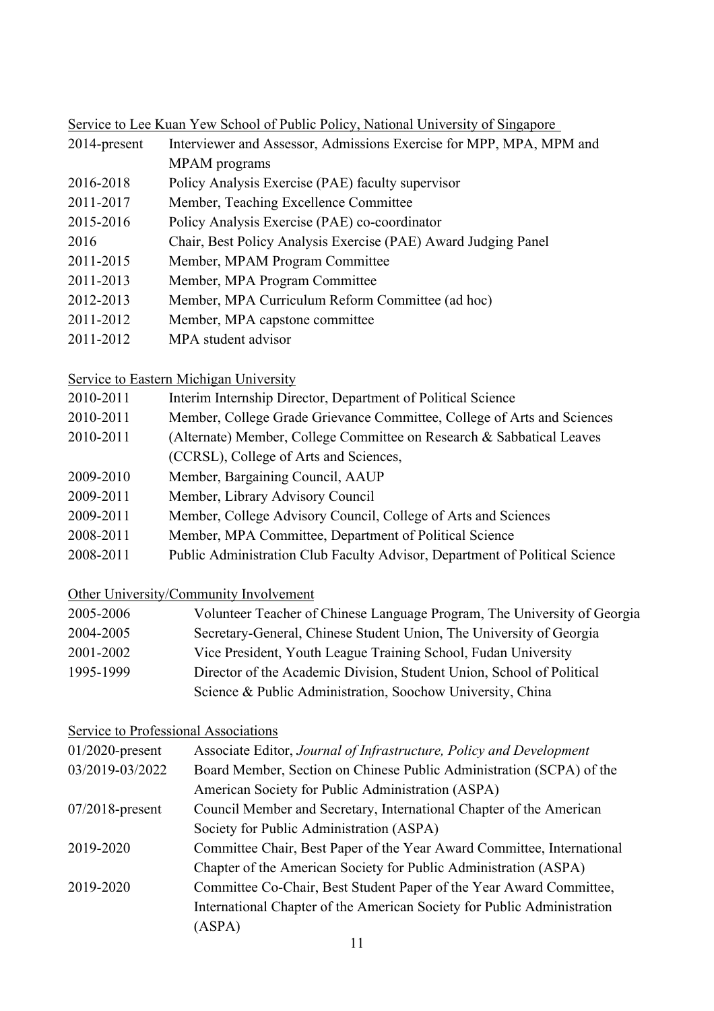Service to Lee Kuan Yew School of Public Policy, National University of Singapore

| $2014$ -present | Interviewer and Assessor, Admissions Exercise for MPP, MPA, MPM and |
|-----------------|---------------------------------------------------------------------|
|                 | MPAM programs                                                       |

- 2016-2018 Policy Analysis Exercise (PAE) faculty supervisor
- 2011-2017 Member, Teaching Excellence Committee
- 2015-2016 Policy Analysis Exercise (PAE) co-coordinator
- 2016 Chair, Best Policy Analysis Exercise (PAE) Award Judging Panel
- 2011-2015 Member, MPAM Program Committee
- 2011-2013 Member, MPA Program Committee
- 2012-2013 Member, MPA Curriculum Reform Committee (ad hoc)
- 2011-2012 Member, MPA capstone committee
- 2011-2012 MPA student advisor

Service to Eastern Michigan University

- 2010-2011 Interim Internship Director, Department of Political Science
- 2010-2011 Member, College Grade Grievance Committee, College of Arts and Sciences
- 2010-2011 (Alternate) Member, College Committee on Research & Sabbatical Leaves (CCRSL), College of Arts and Sciences,
- 2009-2010 Member, Bargaining Council, AAUP
- 2009-2011 Member, Library Advisory Council
- 2009-2011 Member, College Advisory Council, College of Arts and Sciences
- 2008-2011 Member, MPA Committee, Department of Political Science
- 2008-2011 Public Administration Club Faculty Advisor, Department of Political Science

## Other University/Community Involvement

| 2005-2006 | Volunteer Teacher of Chinese Language Program, The University of Georgia |
|-----------|--------------------------------------------------------------------------|
| 2004-2005 | Secretary-General, Chinese Student Union, The University of Georgia      |
| 2001-2002 | Vice President, Youth League Training School, Fudan University           |
| 1995-1999 | Director of the Academic Division, Student Union, School of Political    |
|           | Science & Public Administration, Soochow University, China               |

## Service to Professional Associations

| $01/2020$ -present | Associate Editor, Journal of Infrastructure, Policy and Development     |
|--------------------|-------------------------------------------------------------------------|
| 03/2019-03/2022    | Board Member, Section on Chinese Public Administration (SCPA) of the    |
|                    | American Society for Public Administration (ASPA)                       |
| $07/2018$ -present | Council Member and Secretary, International Chapter of the American     |
|                    | Society for Public Administration (ASPA)                                |
| 2019-2020          | Committee Chair, Best Paper of the Year Award Committee, International  |
|                    | Chapter of the American Society for Public Administration (ASPA)        |
| 2019-2020          | Committee Co-Chair, Best Student Paper of the Year Award Committee,     |
|                    | International Chapter of the American Society for Public Administration |
|                    | (ASPA)                                                                  |